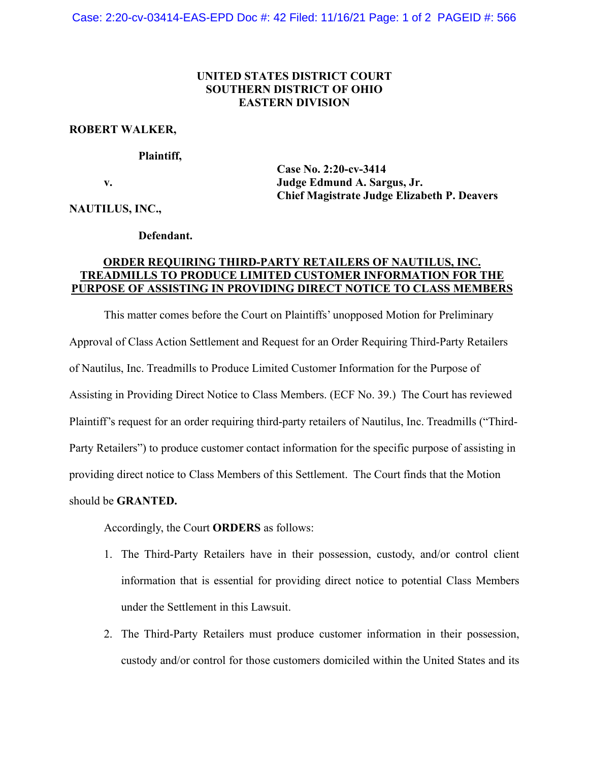## **UNITED STATES DISTRICT COURT SOUTHERN DISTRICT OF OHIO EASTERN DIVISION**

### **ROBERT WALKER,**

#### **Plaintiff,**

**Case No. 2:20-cv-3414 v. Judge Edmund A. Sargus, Jr. Chief Magistrate Judge Elizabeth P. Deavers**

**NAUTILUS, INC.,**

#### **Defendant.**

# **ORDER REQUIRING THIRD-PARTY RETAILERS OF NAUTILUS, INC. TREADMILLS TO PRODUCE LIMITED CUSTOMER INFORMATION FOR THE PURPOSE OF ASSISTING IN PROVIDING DIRECT NOTICE TO CLASS MEMBERS**

This matter comes before the Court on Plaintiffs' unopposed Motion for Preliminary Approval of Class Action Settlement and Request for an Order Requiring Third-Party Retailers of Nautilus, Inc. Treadmills to Produce Limited Customer Information for the Purpose of Assisting in Providing Direct Notice to Class Members. (ECF No. 39.) The Court has reviewed Plaintiff's request for an order requiring third-party retailers of Nautilus, Inc. Treadmills ("Third-Party Retailers") to produce customer contact information for the specific purpose of assisting in providing direct notice to Class Members of this Settlement. The Court finds that the Motion should be **GRANTED.**

Accordingly, the Court **ORDERS** as follows:

- 1. The Third-Party Retailers have in their possession, custody, and/or control client information that is essential for providing direct notice to potential Class Members under the Settlement in this Lawsuit.
- 2. The Third-Party Retailers must produce customer information in their possession, custody and/or control for those customers domiciled within the United States and its